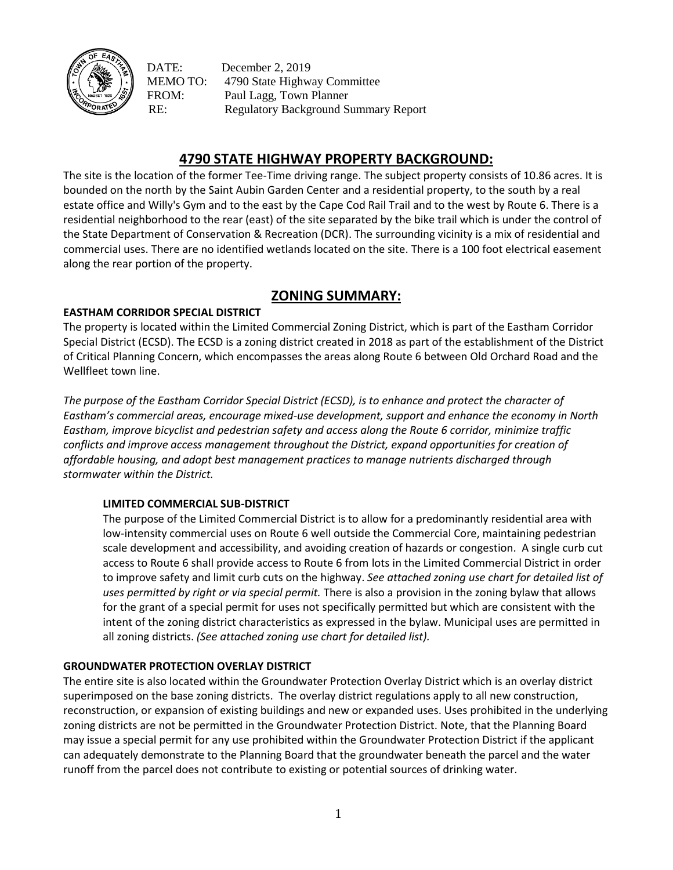

DATE: December 2, 2019 MEMO TO: 4790 State Highway Committee FROM: Paul Lagg, Town Planner RE: Regulatory Background Summary Report

# **4790 STATE HIGHWAY PROPERTY BACKGROUND:**

The site is the location of the former Tee-Time driving range. The subject property consists of 10.86 acres. It is bounded on the north by the Saint Aubin Garden Center and a residential property, to the south by a real estate office and Willy's Gym and to the east by the Cape Cod Rail Trail and to the west by Route 6. There is a residential neighborhood to the rear (east) of the site separated by the bike trail which is under the control of the State Department of Conservation & Recreation (DCR). The surrounding vicinity is a mix of residential and commercial uses. There are no identified wetlands located on the site. There is a 100 foot electrical easement along the rear portion of the property.

# **ZONING SUMMARY:**

## **EASTHAM CORRIDOR SPECIAL DISTRICT**

The property is located within the Limited Commercial Zoning District, which is part of the Eastham Corridor Special District (ECSD). The ECSD is a zoning district created in 2018 as part of the establishment of the District of Critical Planning Concern, which encompasses the areas along Route 6 between Old Orchard Road and the Wellfleet town line.

*The purpose of the Eastham Corridor Special District (ECSD), is to enhance and protect the character of Eastham's commercial areas, encourage mixed-use development, support and enhance the economy in North Eastham, improve bicyclist and pedestrian safety and access along the Route 6 corridor, minimize traffic conflicts and improve access management throughout the District, expand opportunities for creation of affordable housing, and adopt best management practices to manage nutrients discharged through stormwater within the District.*

## **LIMITED COMMERCIAL SUB-DISTRICT**

The purpose of the Limited Commercial District is to allow for a predominantly residential area with low-intensity commercial uses on Route 6 well outside the Commercial Core, maintaining pedestrian scale development and accessibility, and avoiding creation of hazards or congestion. A single curb cut access to Route 6 shall provide access to Route 6 from lots in the Limited Commercial District in order to improve safety and limit curb cuts on the highway. *See attached zoning use chart for detailed list of uses permitted by right or via special permit.* There is also a provision in the zoning bylaw that allows for the grant of a special permit for uses not specifically permitted but which are consistent with the intent of the zoning district characteristics as expressed in the bylaw. Municipal uses are permitted in all zoning districts. *(See attached zoning use chart for detailed list).*

#### **GROUNDWATER PROTECTION OVERLAY DISTRICT**

The entire site is also located within the Groundwater Protection Overlay District which is an overlay district superimposed on the base zoning districts. The overlay district regulations apply to all new construction, reconstruction, or expansion of existing buildings and new or expanded uses. Uses prohibited in the underlying zoning districts are not be permitted in the Groundwater Protection District. Note, that the Planning Board may issue a special permit for any use prohibited within the Groundwater Protection District if the applicant can adequately demonstrate to the Planning Board that the groundwater beneath the parcel and the water runoff from the parcel does not contribute to existing or potential sources of drinking water.